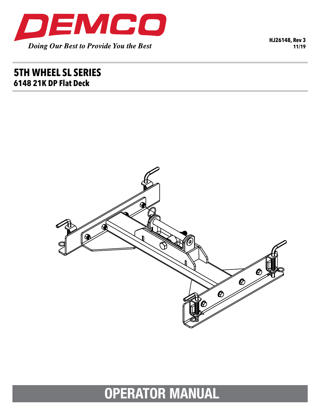

HJ26148, Rev 3  $11/19$ 

# **5TH WHEEL SL SERIES** 6148 21K DP Flat Deck



# **OPERATOR MANUAL**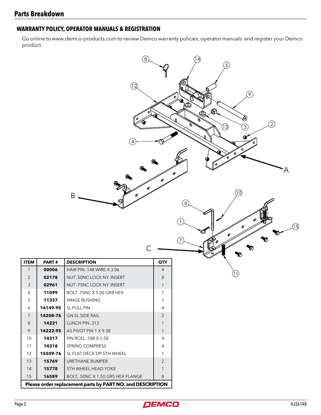## **WARRANTY POLICY, OPERATOR MANUALS & REGISTRATION**

Go online to www.demco-products.com to review Demco warranty policies, operator manuals and register your Demco product.





**ITEM** 

 $\mathbf{1}$  $\overline{2}$ 

 $\mathfrak{Z}$ 

4

5

 $\overline{6}$ 

 $\overline{7}$ 

 $\,8\,$ 

9

10

 $11$ 

12

13

 $14$ 

15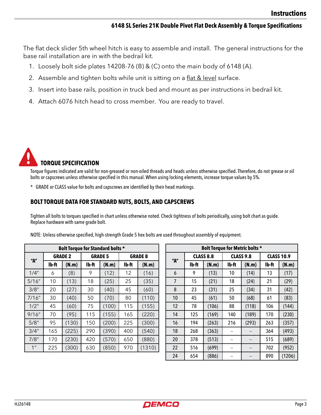### **6148 SL Series 21K Double Pivot Flat Deck Assembly & Torque Specifications**

The flat deck slider 5th wheel hitch is easy to assemble and install. The general instructions for the base rail installation are in with the bedrail kit.

- 1. Loosely bolt side plates 14208-76 (B) & (C) onto the main body of 6148 (A).
- 2. Assemble and tighten bolts while unit is sitting on a flat & level surface.
- 3. Insert into base rails, position in truck bed and mount as per instructions in bedrail kit.
- 4. Attach 6076 hitch head to cross member. You are ready to travel.



Torque figures indicated are valid for non-greased or non-oiled threads and heads unless otherwise specified. Therefore, do not grease or oil bolts or capscrews unless otherwise specified in this manual. When using locking elements, increase torque values by 5%.

\* GRADE or CLASS value for bolts and capscrews are identified by their head markings.

### **BOLT TORQUE DATA FOR STANDARD NUTS, BOLTS, AND CAPSCREWS**

Tighten all bolts to torques specified in chart unless otherwise noted. Check tightness of bolts periodically, using bolt chart as guide. Replace hardware with same grade bolt.

| <b>Bolt Torque for Standard bolts *</b> |                |       |                |       |                |        |  |  |  |
|-----------------------------------------|----------------|-------|----------------|-------|----------------|--------|--|--|--|
| "A"                                     | <b>GRADE 2</b> |       | <b>GRADE 5</b> |       | <b>GRADE 8</b> |        |  |  |  |
|                                         | lb-ft          | (N.m) | lb-ft          | (N.m) | Ib-ft          | (N.m)  |  |  |  |
| 1/4"                                    | 6              | (8)   | 9              | (12)  | 12             | (16)   |  |  |  |
| 5/16''                                  | 10             | (13)  | 18             | (25)  | 25             | (35)   |  |  |  |
| 3/8"                                    | 20             | (27)  | 30             | (40)  | 45             | (60)   |  |  |  |
| 7/16''                                  | 30             | (40)  | 50             | (70)  | 80             | (110)  |  |  |  |
| 1/2"                                    | 45             | (60)  | 75             | (100) | 115            | (155)  |  |  |  |
| 9/16''                                  | 70             | (95)  | 115            | (155) | 165            | (220)  |  |  |  |
| 5/8''                                   | 95             | (130) | 150            | (200) | 225            | (300)  |  |  |  |
| 3/4''                                   | 165            | (225) | 290            | (390) | 400            | (540)  |  |  |  |
| 7/8"                                    | 170            | (230) | 420            | (570) | 650            | (880)  |  |  |  |
| 1 <sup>''</sup>                         | 225            | (300) | 630            | (850) | 970            | (1310) |  |  |  |

| Bolt Torque for Metric bolts * |                  |       |                  |       |                   |        |  |  |  |  |
|--------------------------------|------------------|-------|------------------|-------|-------------------|--------|--|--|--|--|
| "A"                            | <b>CLASS 8.8</b> |       | <b>CLASS 9.8</b> |       | <b>CLASS 10.9</b> |        |  |  |  |  |
|                                | Ib-ft            | (N.m) | lb-ft            | (N.m) | lb-ft             | (N.m)  |  |  |  |  |
| 6                              | 9                | (13)  | 10               | (14)  | 13                | (17)   |  |  |  |  |
| 7                              | 15               | (21)  | 18               | (24)  | 21                | (29)   |  |  |  |  |
| 8                              | 23               | (31)  | 25               | (34)  | 31                | (42)   |  |  |  |  |
| 10                             | 45               | (61)  | 50               | (68)  | 61                | (83)   |  |  |  |  |
| 12                             | 78               | (106) | 88               | (118) | 106               | (144)  |  |  |  |  |
| 14                             | 125              | (169) | 140              | (189) | 170               | (230)  |  |  |  |  |
| 16                             | 194              | (263) | 216              | (293) | 263               | (357)  |  |  |  |  |
| 18                             | 268              | (363) | --               | --    | 364               | (493)  |  |  |  |  |
| 20                             | 378              | (513) |                  |       | 515               | (689)  |  |  |  |  |
| 22                             | 516              | (699) | --               | --    | 702               | (952)  |  |  |  |  |
| 24                             | 654              | (886) |                  |       | 890               | (1206) |  |  |  |  |

NOTE: Unless otherwise specified, high-strength Grade 5 hex bolts are used throughout assembly of equipment.